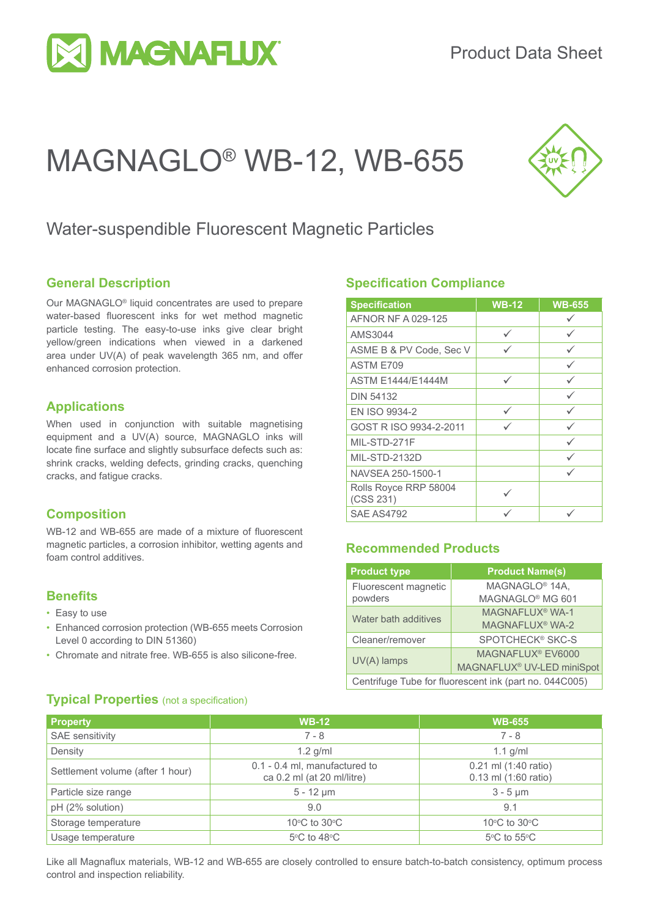

# MAGNAGLO® WB-12, WB-655



### Water-suspendible Fluorescent Magnetic Particles

#### **General Description**

Our MAGNAGLO® liquid concentrates are used to prepare water-based fluorescent inks for wet method magnetic particle testing. The easy-to-use inks give clear bright yellow/green indications when viewed in a darkened area under UV(A) of peak wavelength 365 nm, and offer enhanced corrosion protection.

#### **Applications**

When used in conjunction with suitable magnetising equipment and a UV(A) source, MAGNAGLO inks will locate fine surface and slightly subsurface defects such as: shrink cracks, welding defects, grinding cracks, quenching cracks, and fatigue cracks.

#### **Composition**

WB-12 and WB-655 are made of a mixture of fluorescent magnetic particles, a corrosion inhibitor, wetting agents and foam control additives.

#### **Benefits**

- Easy to use
- Enhanced corrosion protection (WB-655 meets Corrosion Level 0 according to DIN 51360)
- Chromate and nitrate free. WB-655 is also silicone-free.

#### **Specification Compliance**

| <b>Specification</b>               | <b>WB-12</b> | <b>WB-655</b> |
|------------------------------------|--------------|---------------|
| AFNOR NF A 029-125                 |              |               |
| AMS3044                            | ✓            | ✓             |
| ASME B & PV Code, Sec V            |              |               |
| ASTM E709                          |              | ✓             |
| <b>ASTM F1444/F1444M</b>           | ✓            |               |
| <b>DIN 54132</b>                   |              | ✓             |
| EN ISO 9934-2                      | ✓            |               |
| GOST R ISO 9934-2-2011             | $\checkmark$ |               |
| MIL-STD-271F                       |              |               |
| MIL-STD-2132D                      |              |               |
| NAVSEA 250-1500-1                  |              |               |
| Rolls Royce RRP 58004<br>(CSS 231) |              |               |
| <b>SAE AS4792</b>                  |              |               |

#### **Recommended Products**

| <b>Product type</b>                                    | <b>Product Name(s)</b>                 |  |
|--------------------------------------------------------|----------------------------------------|--|
| Fluorescent magnetic                                   | MAGNAGLO <sup>®</sup> 14A,             |  |
| powders                                                | MAGNAGLO <sup>®</sup> MG 601           |  |
| Water bath additives                                   | MAGNAFLUX <sup>®</sup> WA-1            |  |
|                                                        | MAGNAFLUX <sup>®</sup> WA-2            |  |
| Cleaner/remover                                        | SPOTCHECK® SKC-S                       |  |
| UV(A) lamps                                            | MAGNAFLUX <sup>®</sup> EV6000          |  |
|                                                        | MAGNAFLUX <sup>®</sup> UV-LED miniSpot |  |
| Centrifuge Tube for fluorescent ink (part no. 044C005) |                                        |  |

#### **Typical Properties** (not a specification)

| <b>Property</b>                  | <b>WB-12</b>                                                | <b>WB-655</b>                                |
|----------------------------------|-------------------------------------------------------------|----------------------------------------------|
| SAE sensitivity                  | $7 - 8$                                                     | $7 - 8$                                      |
| Density                          | $1.2$ g/ml                                                  | $1.1$ g/ml                                   |
| Settlement volume (after 1 hour) | 0.1 - 0.4 ml, manufactured to<br>ca 0.2 ml (at 20 ml/litre) | 0.21 ml (1:40 ratio)<br>0.13 ml (1:60 ratio) |
| Particle size range              | $5 - 12 \mu m$                                              | $3 - 5 \mu m$                                |
| pH (2% solution)                 | 9.0                                                         | 9.1                                          |
| Storage temperature              | 10 $\rm{^{\circ}C}$ to 30 $\rm{^{\circ}C}$                  | 10°C to 30°C                                 |
| Usage temperature                | $5^{\circ}$ C to 48 $^{\circ}$ C                            | $5^{\circ}$ C to $55^{\circ}$ C              |

Like all Magnaflux materials, WB-12 and WB-655 are closely controlled to ensure batch-to-batch consistency, optimum process control and inspection reliability.